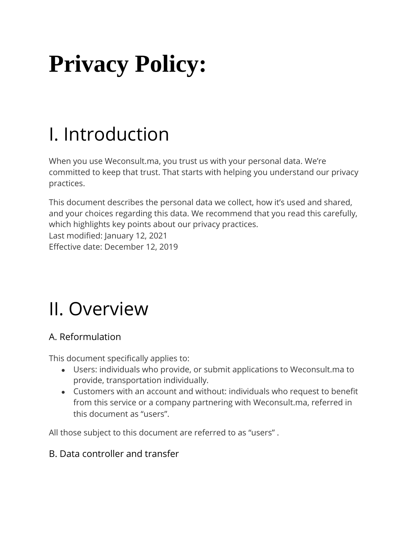# **Privacy Policy:**

## I. Introduction

When you use Weconsult.ma, you trust us with your personal data. We're committed to keep that trust. That starts with helping you understand our privacy practices.

This document describes the personal data we collect, how it's used and shared, and your choices regarding this data. We recommend that you read this carefully, which highlights key points about our privacy practices. Last modified: January 12, 2021 Effective date: December 12, 2019

## II. Overview

## A. Reformulation

This document specifically applies to:

- Users: individuals who provide, or submit applications to Weconsult.ma to provide, transportation individually.
- Customers with an account and without: individuals who request to benefit from this service or a company partnering with Weconsult.ma, referred in this document as "users".

All those subject to this document are referred to as "users" .

## B. Data controller and transfer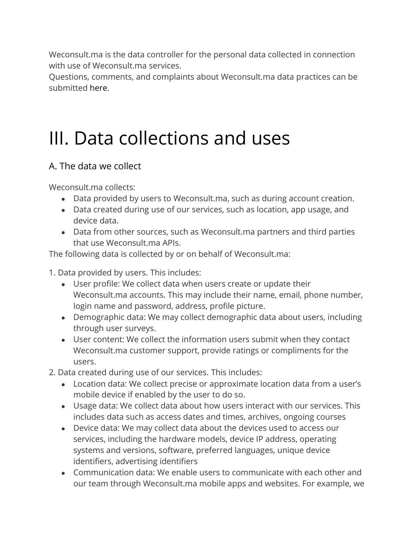Weconsult.ma is the data controller for the personal data collected in connection with use of Weconsult.ma services.

Questions, comments, and complaints about Weconsult.ma data practices can be submitted [here.](https://help.uber.com/riders/article/submit-inquiry-to-uber-data-protection-officer-dpo?nodeId=489292a2-27ce-42f5-9a47-d4dd017559fd)

## III. Data collections and uses

## A. The data we collect

Weconsult.ma collects:

- Data provided by users to Weconsult.ma, such as during account creation.
- Data created during use of our services, such as location, app usage, and device data.
- Data from other sources, such as Weconsult.ma partners and third parties that use Weconsult.ma APIs.

The following data is collected by or on behalf of Weconsult.ma:

1. Data provided by users. This includes:

- User profile: We collect data when users create or update their Weconsult.ma accounts. This may include their name, email, phone number, login name and password, address, profile picture.
- Demographic data: We may collect demographic data about users, including through user surveys.
- User content: We collect the information users submit when they contact Weconsult.ma customer support, provide ratings or compliments for the users.
- 2. Data created during use of our services. This includes:
	- Location data: We collect precise or approximate location data from a user's mobile device if enabled by the user to do so.
	- Usage data: We collect data about how users interact with our services. This includes data such as access dates and times, archives, ongoing courses
	- Device data: We may collect data about the devices used to access our services, including the hardware models, device IP address, operating systems and versions, software, preferred languages, unique device identifiers, advertising identifiers
	- $\bullet$  Communication data: We enable users to communicate with each other and our team through Weconsult.ma mobile apps and websites. For example, we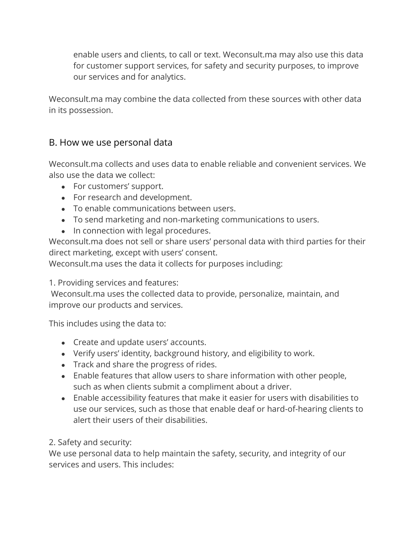enable users and clients, to call or text. Weconsult.ma may also use this data for customer support services, for safety and security purposes, to improve our services and for analytics.

Weconsult.ma may combine the data collected from these sources with other data in its possession.

### B. How we use personal data

Weconsult.ma collects and uses data to enable reliable and convenient services. We also use the data we collect:

- For customers' support.
- For research and development.
- To enable communications between users.
- To send marketing and non-marketing communications to users.
- In connection with legal procedures.

Weconsult.ma does not sell or share users' personal data with third parties for their direct marketing, except with users' consent.

Weconsult.ma uses the data it collects for purposes including:

1. Providing services and features:

Weconsult.ma uses the collected data to provide, personalize, maintain, and improve our products and services.

This includes using the data to:

- Create and update users' accounts.
- Verify users' identity, background history, and eligibility to work.
- Track and share the progress of rides.
- Enable features that allow users to share information with other people, such as when clients submit a compliment about a driver.
- Enable accessibility features that make it easier for users with disabilities to use our services, such as those that enable deaf or hard-of-hearing clients to alert their users of their disabilities.

#### 2. Safety and security:

We use personal data to help maintain the safety, security, and integrity of our services and users. This includes: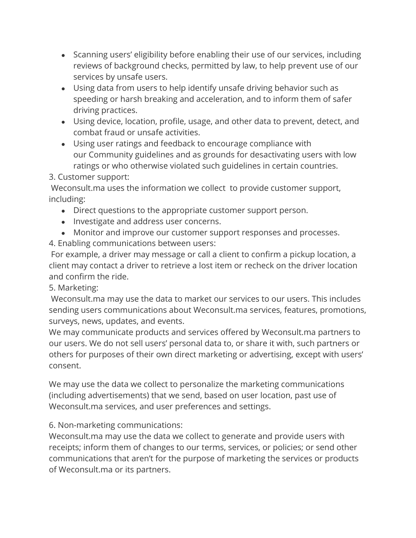- Scanning users' eligibility before enabling their use of our services, including reviews of background checks, permitted by law, to help prevent use of our services by unsafe users.
- Using data from users to help identify unsafe driving behavior such as speeding or harsh breaking and acceleration, and to inform them of safer driving practices.
- Using device, location, profile, usage, and other data to prevent, detect, and combat fraud or unsafe activities.
- Using user ratings and feedback to encourage compliance with our Community guidelines and as grounds for desactivating users with low ratings or who otherwise violated such guidelines in certain countries.

3. Customer support:

Weconsult.ma uses the information we collect to provide customer support, including:

- Direct questions to the appropriate customer support person.
- Investigate and address user concerns.
- Monitor and improve our customer support responses and processes.
- 4. Enabling communications between users:

For example, a driver may message or call a client to confirm a pickup location, a client may contact a driver to retrieve a lost item or recheck on the driver location and confirm the ride.

5. Marketing:

Weconsult.ma may use the data to market our services to our users. This includes sending users communications about Weconsult.ma services, features, promotions, surveys, news, updates, and events.

We may communicate products and services offered by Weconsult.ma partners to our users. We do not sell users' personal data to, or share it with, such partners or others for purposes of their own direct marketing or advertising, except with users' consent.

We may use the data we collect to personalize the marketing communications (including advertisements) that we send, based on user location, past use of Weconsult.ma services, and user preferences and settings.

6. Non-marketing communications:

Weconsult.ma may use the data we collect to generate and provide users with receipts; inform them of changes to our terms, services, or policies; or send other communications that aren't for the purpose of marketing the services or products of Weconsult.ma or its partners.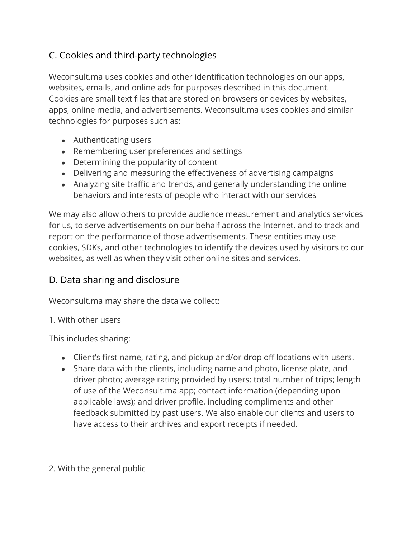## C. Cookies and third-party technologies

Weconsult.ma uses cookies and other identification technologies on our apps, websites, emails, and online ads for purposes described in this document. Cookies are small text files that are stored on browsers or devices by websites, apps, online media, and advertisements. Weconsult.ma uses cookies and similar technologies for purposes such as:

- Authenticating users
- Remembering user preferences and settings
- Determining the popularity of content
- Delivering and measuring the effectiveness of advertising campaigns
- Analyzing site traffic and trends, and generally understanding the online behaviors and interests of people who interact with our services

We may also allow others to provide audience measurement and analytics services for us, to serve advertisements on our behalf across the Internet, and to track and report on the performance of those advertisements. These entities may use cookies, SDKs, and other technologies to identify the devices used by visitors to our websites, as well as when they visit other online sites and services.

## D. Data sharing and disclosure

Weconsult.ma may share the data we collect:

#### 1. With other users

This includes sharing:

- Client's first name, rating, and pickup and/or drop off locations with users.
- Share data with the clients, including name and photo, license plate, and driver photo; average rating provided by users; total number of trips; length of use of the Weconsult.ma app; contact information (depending upon applicable laws); and driver profile, including compliments and other feedback submitted by past users. We also enable our clients and users to have access to their archives and export receipts if needed.

### 2. With the general public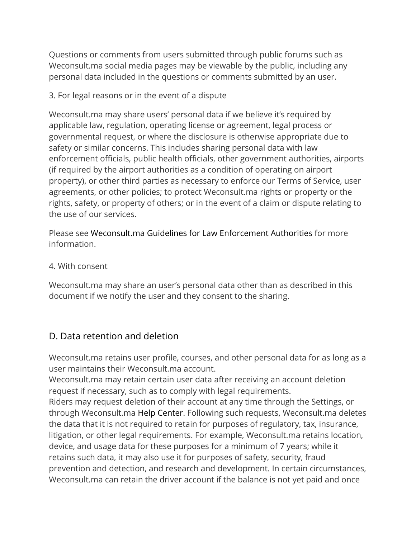Questions or comments from users submitted through public forums such as Weconsult.ma social media pages may be viewable by the public, including any personal data included in the questions or comments submitted by an user.

#### 3. For legal reasons or in the event of a dispute

Weconsult.ma may share users' personal data if we believe it's required by applicable law, regulation, operating license or agreement, legal process or governmental request, or where the disclosure is otherwise appropriate due to safety or similar concerns. This includes sharing personal data with law enforcement officials, public health officials, other government authorities, airports (if required by the airport authorities as a condition of operating on airport property), or other third parties as necessary to enforce our Terms of Service, user agreements, or other policies; to protect Weconsult.ma rights or property or the rights, safety, or property of others; or in the event of a claim or dispute relating to the use of our services.

Please see Weconsult.ma [Guidelines for Law Enforcement Authorities](https://www.uber.com/legal/data-requests/guidelines-for-law-enforcement-united-states/en-US) for more information.

#### 4. With consent

Weconsult.ma may share an user's personal data other than as described in this document if we notify the user and they consent to the sharing.

### D. Data retention and deletion

Weconsult.ma retains user profile, courses, and other personal data for as long as a user maintains their Weconsult.ma account.

Weconsult.ma may retain certain user data after receiving an account deletion request if necessary, such as to comply with legal requirements.

Riders may request deletion of their account at any time through the Settings, or through Weconsult.ma [Help Center.](https://help.uber.com/h/55ae2bb5-b102-4ab0-9ed3-32f4db95f0e5) Following such requests, Weconsult.ma deletes the data that it is not required to retain for purposes of regulatory, tax, insurance, litigation, or other legal requirements. For example, Weconsult.ma retains location, device, and usage data for these purposes for a minimum of 7 years; while it retains such data, it may also use it for purposes of safety, security, fraud prevention and detection, and research and development. In certain circumstances, Weconsult.ma can retain the driver account if the balance is not yet paid and once